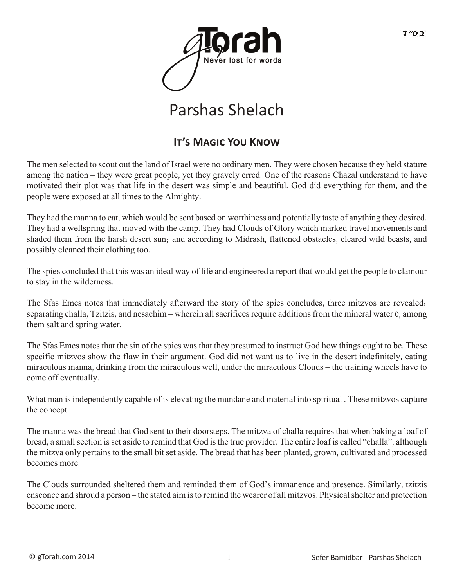

# Parshas Shelach

### **It's Magic You Kno�**

The men selected to scout out the land of Israel were no ordinary men. They were chosen because they held stature among the nation – they were great people, yet they gravely erred. One of the reasons Chazal understand to have motivated their plot was that life in the desert was simple and beautiful. God did everything for them, and the people were exposed at all times to the Almighty.

They had the manna to eat, which would be sent based on worthiness and potentially taste of anything they desired. They had a wellspring that moved with the camp. They had Clouds of Glory which marked travel movements and shaded them from the harsh desert sun; and according to Midrash, flattened obstacles, cleared wild beasts, and possibly cleaned their clothing too.

The spies concluded that this was an ideal way of life and engineered a report that would get the people to clamour to stay in the wilderness.

The Sfas Emes notes that immediately afterward the story of the spies concludes, three mitzvos are revealed: separating challa, Tzitzis, and nesachim – wherein all sacrifices require additions from the mineral water 0, among them salt and spring water.

The Sfas Emes notes that the sin of the spies was that they presumed to instruct God how things ought to be. These specific mitzvos show the flaw in their argument. God did not want us to live in the desert indefinitely, eating miraculous manna, drinking from the miraculous well, under the miraculous Clouds – the training wheels have to come off eventually.

What man is independently capable of is elevating the mundane and material into spiritual . These mitzvos capture the concept.

The manna was the bread that God sent to their doorsteps. The mitzva of challa requires that when baking a loaf of bread, a small section is set aside to remind that God is the true provider. The entire loaf is called "challa", although the mitzva only pertains to the small bit set aside. The bread that has been planted, grown, cultivated and processed becomes more.

The Clouds surrounded sheltered them and reminded them of God's immanence and presence. Similarly, tzitzis ensconce and shroud a person – the stated aim is to remind the wearer of all mitzvos. Physical shelter and protection become more.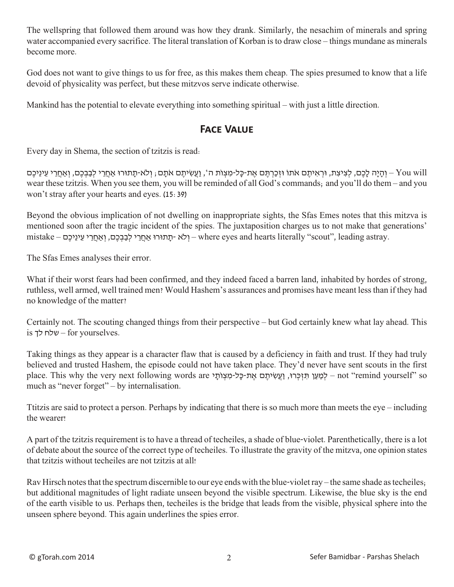The wellspring that followed them around was how they drank. Similarly, the nesachim of minerals and spring water accompanied every sacrifice. The literal translation of Korban is to draw close – things mundane as minerals become more.

God does not want to give things to us for free, as this makes them cheap. The spies presumed to know that a life devoid of physicality was perfect, but these mitzvos serve indicate otherwise.

Mankind has the potential to elevate everything into something spiritual – with just a little direction.

#### **Face Value**

Every day in Shema, the section of tzitzis is read:

You will – והיה לכם, לציצת, וּראיתם אֹתוֹ וּזכרתּם את-כּל-מִצוֹת ה', ועשִׂיתם אֹתם ; ולא-תתוּרוּ אחרי לבבכם, ואחרי עיניכם wear these tzitzis. When you see them, you will be reminded of all God's commands; and you'll do them – and you won't stray after your hearts and eyes. (15:39)

Beyond the obvious implication of not dwelling on inappropriate sights, the Sfas Emes notes that this mitzva is mentioned soon after the tragic incident of the spies. The juxtaposition charges us to not make that generations' mistake – ולא -תתורו אחרי לבבכם, ואחרי עיניכם) – where eyes and hearts literally "scout", leading astray.

The Sfas Emes analyses their error.

What if their worst fears had been confirmed, and they indeed faced a barren land, inhabited by hordes of strong, ruthless, well armed, well trained men? Would Hashem's assurances and promises have meant less than if they had no knowledge of the matter?

Certainly not. The scouting changed things from their perspective – but God certainly knew what lay ahead. This is לך שלח – for yourselves.

Taking things as they appear is a character flaw that is caused by a deficiency in faith and trust. If they had truly believed and trusted Hashem, the episode could not have taken place. They'd never have sent scouts in the first place. This why the very next following words are לְמַעַן תִּזְכְּרוּ, וַעֲשִׂיתֵם אֱת-כָּל-מִצְוֹתֵי - not "remind yourself" so much as "never forget" – by internalisation.

Ttitzis are said to protect a person. Perhaps by indicating that there is so much more than meets the eye – including the wearer!

A part of the tzitzis requirement is to have a thread of techeiles, a shade of blue-violet. Parenthetically, there is a lot of debate about the source of the correct type of techeiles. To illustrate the gravity of the mitzva, one opinion states that tzitzis without techeiles are not tzitzis at all!

Rav Hirsch notes that the spectrum discernible to our eye ends with the blue-violet ray – the same shade as techeiles; but additional magnitudes of light radiate unseen beyond the visible spectrum. Likewise, the blue sky is the end of the earth visible to us. Perhaps then, techeiles is the bridge that leads from the visible, physical sphere into the unseen sphere beyond. This again underlines the spies error.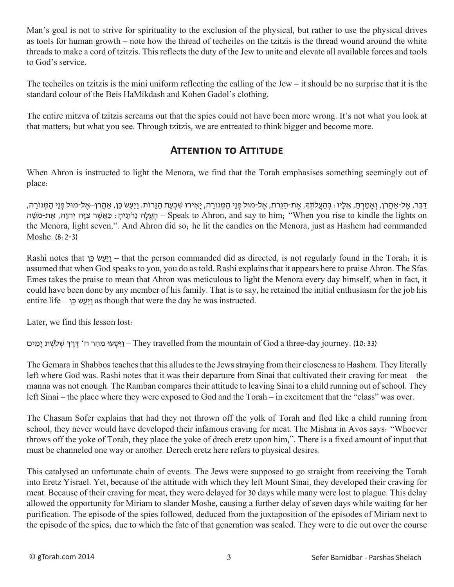Man's goal is not to strive for spirituality to the exclusion of the physical, but rather to use the physical drives as tools for human growth – note how the thread of techeiles on the tzitzis is the thread wound around the white threads to make a cord of tzitzis. This reflects the duty of the Jew to unite and elevate all available forces and tools to God's service.

The techeiles on tzitzis is the mini uniform reflecting the calling of the Jew  $-$  it should be no surprise that it is the standard colour of the Beis HaMikdash and Kohen Gadol's clothing.

The entire mitzva of tzitzis screams out that the spies could not have been more wrong. It's not what you look at that matters; but what you see. Through tzitzis, we are entreated to think bigger and become more.

#### **Attention to Attitude**

When Ahron is instructed to light the Menora, we find that the Torah emphasises something seemingly out of place:

ּדַּבֵר, אֶל-אַהֲרֹן, וְאַמַרְתָּ, אֶלֶיו : בְּהַעֲלֹתְךָּ, אֶת-הַנֵּרֹת, אֶל-מוּל פְּנֵי הַמְּווֹרָה, יַאֲירוּ שִׁבְעַת הַנֵּרוֹת. וַיַּעֲשׂ כֵּן, אֲהֵרֹן–אֱל-מוּל פְּנֵי הַמְּווֹרָה, הַעֱלָה נֵרֹתֵיהָ: כַּאֲשֶׁר צִוָּה יְהוָה, אֵת-מֹשֵׁה – Speak to Ahron, and say to him; "When you rise to kindle the lights on the Menora, light seven,". And Ahron did so; he lit the candles on the Menora, just as Hashem had commanded Moshe. (8:2-3)

Rashi notes that  $\gamma$ ! וַיַּעֲשׂ כֵּן – that the person commanded did as directed, is not regularly found in the Torah; it is assumed that when God speaks to you, you do as told. Rashi explains that it appears here to praise Ahron. The Sfas Emes takes the praise to mean that Ahron was meticulous to light the Menora every day himself, when in fact, it could have been done by any member of his family. That is to say, he retained the initial enthusiasm for the job his entire life – וַ $\frac{1}{2}$  as though that were the day he was instructed.

Later, we find this lesson lost:

ויסעו מהר ה' דרך שלשת ימים-They travelled from the mountain of God a three-day journey. (10: 33)

The Gemara in Shabbos teaches that this alludes to the Jews straying from their closeness to Hashem. They literally left where God was. Rashi notes that it was their departure from Sinai that cultivated their craving for meat – the manna was not enough. The Ramban compares their attitude to leaving Sinai to a child running out of school. They left Sinai – the place where they were exposed to God and the Torah – in excitement that the "class" was over.

The Chasam Sofer explains that had they not thrown off the yolk of Torah and fled like a child running from school, they never would have developed their infamous craving for meat. The Mishna in Avos says: "Whoever throws off the yoke of Torah, they place the yoke of drech eretz upon him,". There is a fixed amount of input that must be channeled one way or another. Derech eretz here refers to physical desires.

This catalysed an unfortunate chain of events. The Jews were supposed to go straight from receiving the Torah into Eretz Yisrael. Yet, because of the attitude with which they left Mount Sinai, they developed their craving for meat. Because of their craving for meat, they were delayed for 30 days while many were lost to plague. This delay allowed the opportunity for Miriam to slander Moshe, causing a further delay of seven days while waiting for her purification. The episode of the spies followed, deduced from the juxtaposition of the episodes of Miriam next to the episode of the spies; due to which the fate of that generation was sealed. They were to die out over the course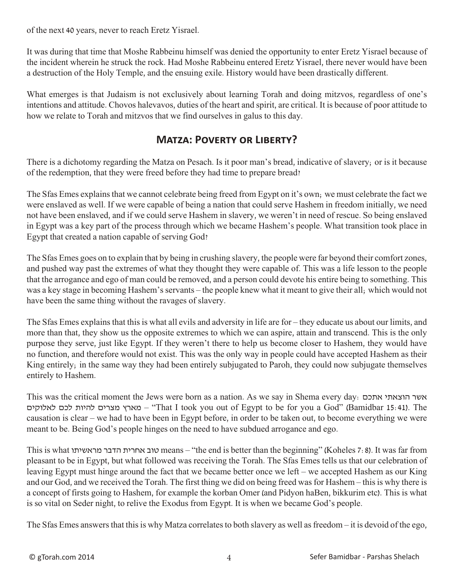of the next 40 years, never to reach Eretz Yisrael.

It was during that time that Moshe Rabbeinu himself was denied the opportunity to enter Eretz Yisrael because of the incident wherein he struck the rock. Had Moshe Rabbeinu entered Eretz Yisrael, there never would have been a destruction of the Holy Temple, and the ensuing exile. History would have been drastically different.

What emerges is that Judaism is not exclusively about learning Torah and doing mitzvos, regardless of one's intentions and attitude. Chovos halevavos, duties of the heart and spirit, are critical. It is because of poor attitude to how we relate to Torah and mitzvos that we find ourselves in galus to this day.

#### **Matza: Poverty or Liberty?**

There is a dichotomy regarding the Matza on Pesach. Is it poor man's bread, indicative of slavery; or is it because of the redemption, that they were freed before they had time to prepare bread?

The Sfas Emes explains that we cannot celebrate being freed from Egypt on it's own; we must celebrate the fact we were enslaved as well. If we were capable of being a nation that could serve Hashem in freedom initially, we need not have been enslaved, and if we could serve Hashem in slavery, we weren't in need of rescue. So being enslaved in Egypt was a key part of the process through which we became Hashem's people. What transition took place in Egypt that created a nation capable of serving God?

The Sfas Emes goes on to explain that by being in crushing slavery, the people were far beyond their comfort zones, and pushed way past the extremes of what they thought they were capable of. This was a life lesson to the people that the arrogance and ego of man could be removed, and a person could devote his entire being to something. This was a key stage in becoming Hashem's servants – the people knew what it meant to give their all; which would not have been the same thing without the ravages of slavery.

The Sfas Emes explains that this is what all evils and adversity in life are for – they educate us about our limits, and more than that, they show us the opposite extremes to which we can aspire, attain and transcend. This is the only purpose they serve, just like Egypt. If they weren't there to help us become closer to Hashem, they would have no function, and therefore would not exist. This was the only way in people could have accepted Hashem as their King entirely; in the same way they had been entirely subjugated to Paroh, they could now subjugate themselves entirely to Hashem.

This was the critical moment the Jews were born as a nation. As we say in Shema every day: אתכם הוצאתי אשר לאלוקים לכם להיות מצרים מארץ" – That I took you out of Egypt to be for you a God" (Bamidbar 15:41). The causation is clear – we had to have been in Egypt before, in order to be taken out, to become everything we were meant to be. Being God's people hinges on the need to have subdued arrogance and ego.

This is what מראשיתו הדבר אחרית טוב means – "the end is better than the beginning" (Koheles 7:8). It was far from pleasant to be in Egypt, but what followed was receiving the Torah. The Sfas Emes tells us that our celebration of leaving Egypt must hinge around the fact that we became better once we left – we accepted Hashem as our King and our God, and we received the Torah. The first thing we did on being freed was for Hashem – this is why there is a concept of firsts going to Hashem, for example the korban Omer (and Pidyon haBen, bikkurim etc). This is what is so vital on Seder night, to relive the Exodus from Egypt. It is when we became God's people.

The Sfas Emes answers that this is why Matza correlates to both slavery as well as freedom – it is devoid of the ego,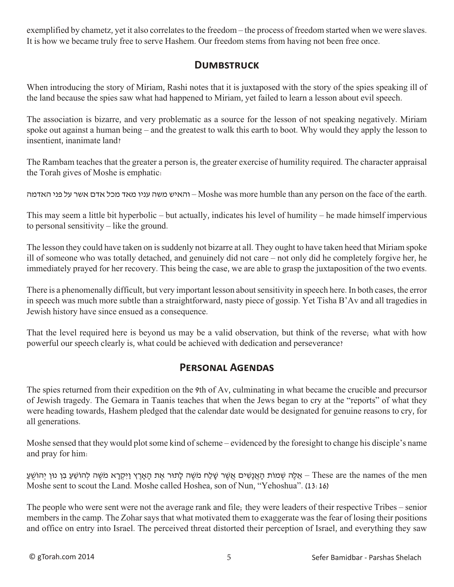exemplified by chametz, yet it also correlates to the freedom – the process of freedom started when we were slaves. It is how we became truly free to serve Hashem. Our freedom stems from having not been free once.

#### **Dumbstruck**

When introducing the story of Miriam, Rashi notes that it is juxtaposed with the story of the spies speaking ill of the land because the spies saw what had happened to Miriam, yet failed to learn a lesson about evil speech.

The association is bizarre, and very problematic as a source for the lesson of not speaking negatively. Miriam spoke out against a human being – and the greatest to walk this earth to boot. Why would they apply the lesson to insentient, inanimate land?

The Rambam teaches that the greater a person is, the greater exercise of humility required. The character appraisal the Torah gives of Moshe is emphatic:

האדמה פני על אשר אדם מכל מאד עניו משה והאיש – Moshe was more humble than any person on the face of the earth.

This may seem a little bit hyperbolic – but actually, indicates his level of humility – he made himself impervious to personal sensitivity – like the ground.

The lesson they could have taken on is suddenly not bizarre at all. They ought to have taken heed that Miriam spoke ill of someone who was totally detached, and genuinely did not care – not only did he completely forgive her, he immediately prayed for her recovery. This being the case, we are able to grasp the juxtaposition of the two events.

There is a phenomenally difficult, but very important lesson about sensitivity in speech here. In both cases, the error in speech was much more subtle than a straightforward, nasty piece of gossip. Yet Tisha B'Av and all tragedies in Jewish history have since ensued as a consequence.

That the level required here is beyond us may be a valid observation, but think of the reverse; what with how powerful our speech clearly is, what could be achieved with dedication and perseverance?

#### **Personal Agendas**

The spies returned from their expedition on the 9th of Av, culminating in what became the crucible and precursor of Jewish tragedy. The Gemara in Taanis teaches that when the Jews began to cry at the "reports" of what they were heading towards, Hashem pledged that the calendar date would be designated for genuine reasons to cry, for all generations.

Moshe sensed that they would plot some kind of scheme – evidenced by the foresight to change his disciple's name and pray for him:

אֵ לֶּתוֹת הָאֲנָשִׁים אֲשֶׁר שָׁלַח מֹשֵׁה לָתוֹר אֶת הָאָרֶץ וַיִּקְרָא מֹשֶׁה לְהוֹשֵׁעַ בִן נוּן יְהוֹשָׁעַ – These are the names of the men Moshe sent to scout the Land. Moshe called Hoshea, son of Nun, "Yehoshua". (13:16)

The people who were sent were not the average rank and file; they were leaders of their respective Tribes – senior members in the camp. The Zohar says that what motivated them to exaggerate was the fear of losing their positions and office on entry into Israel. The perceived threat distorted their perception of Israel, and everything they saw